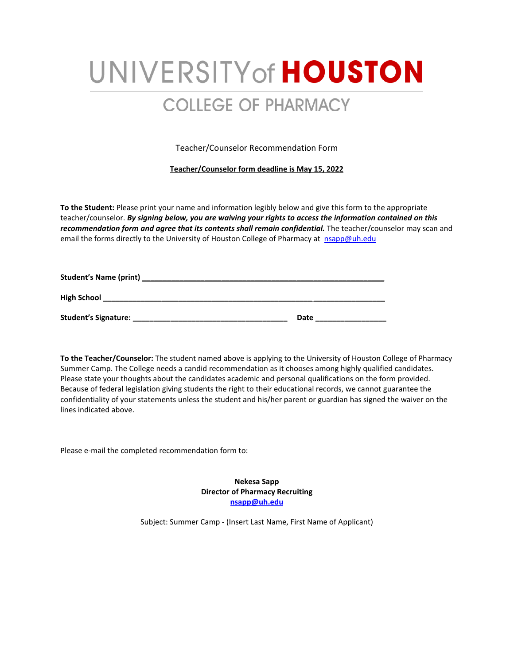## UNIVERSITY of **HOUSTON COLLEGE OF PHARMACY**

Teacher/Counselor Recommendation Form

**Teacher/Counselor form deadline is May 15, 2022**

**To the Student:** Please print your name and information legibly below and give this form to the appropriate teacher/counselor. *By signing below, you are waiving your rights to access the information contained on this recommendation form and agree that its contents shall remain confidential.* The teacher/counselor may scan and email the forms directly to the University of Houston College of Pharmacy at nsapp@uh.edu

| <b>Student's Name (print)</b> |      |
|-------------------------------|------|
| <b>High School</b>            |      |
| <b>Student's Signature:</b>   | Date |

**To the Teacher/Counselor:** The student named above is applying to the University of Houston College of Pharmacy Summer Camp. The College needs a candid recommendation as it chooses among highly qualified candidates. Please state your thoughts about the candidates academic and personal qualifications on the form provided. Because of federal legislation giving students the right to their educational records, we cannot guarantee the confidentiality of your statements unless the student and his/her parent or guardian has signed the waiver on the lines indicated above.

Please e-mail the completed recommendation form to:

**Nekesa Sapp Director of Pharmacy Recruiting [nsapp@uh.edu](mailto:nsapp@uh.edu)**

Subject: Summer Camp - (Insert Last Name, First Name of Applicant)